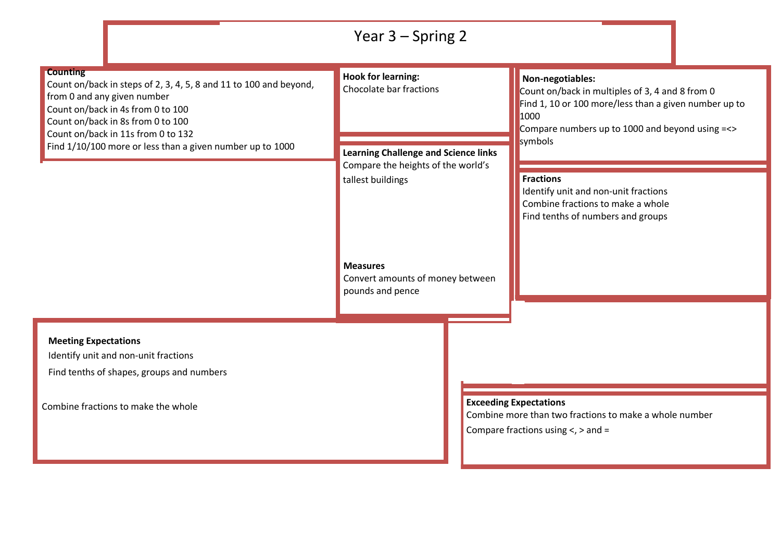|                                                                                                                                                                                                                                                                                                  | Year $3 -$ Spring 2                                                     |                                                                                                                                                                                                    |  |
|--------------------------------------------------------------------------------------------------------------------------------------------------------------------------------------------------------------------------------------------------------------------------------------------------|-------------------------------------------------------------------------|----------------------------------------------------------------------------------------------------------------------------------------------------------------------------------------------------|--|
| <b>Counting</b><br>Count on/back in steps of 2, 3, 4, 5, 8 and 11 to 100 and beyond,<br>from 0 and any given number<br>Count on/back in 4s from 0 to 100<br>Count on/back in 8s from 0 to 100<br>Count on/back in 11s from 0 to 132<br>Find 1/10/100 more or less than a given number up to 1000 | <b>Hook for learning:</b><br>Chocolate bar fractions                    | Non-negotiables:<br>Count on/back in multiples of 3, 4 and 8 from 0<br>Find 1, 10 or 100 more/less than a given number up to<br>1000<br>Compare numbers up to 1000 and beyond using =<><br>symbols |  |
|                                                                                                                                                                                                                                                                                                  | <b>Learning Challenge and Science links</b>                             |                                                                                                                                                                                                    |  |
|                                                                                                                                                                                                                                                                                                  | Compare the heights of the world's<br>tallest buildings                 | <b>Fractions</b><br>Identify unit and non-unit fractions<br>Combine fractions to make a whole<br>Find tenths of numbers and groups                                                                 |  |
|                                                                                                                                                                                                                                                                                                  | <b>Measures</b><br>Convert amounts of money between<br>pounds and pence |                                                                                                                                                                                                    |  |
| <b>Meeting Expectations</b><br>Identify unit and non-unit fractions<br>Find tenths of shapes, groups and numbers                                                                                                                                                                                 |                                                                         |                                                                                                                                                                                                    |  |
|                                                                                                                                                                                                                                                                                                  |                                                                         |                                                                                                                                                                                                    |  |
| Combine fractions to make the whole                                                                                                                                                                                                                                                              |                                                                         | <b>Exceeding Expectations</b><br>Combine more than two fractions to make a whole number<br>Compare fractions using $\lt$ , $>$ and =                                                               |  |